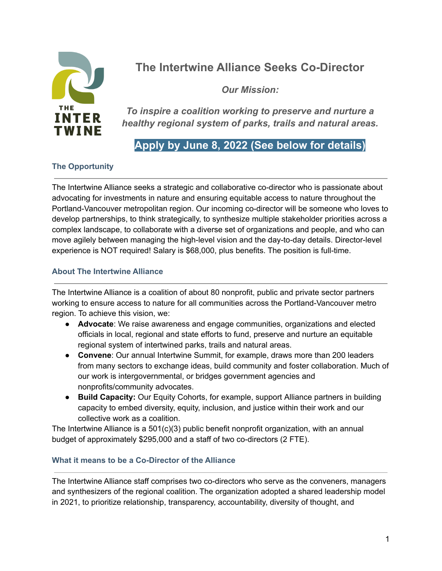

# **The Intertwine Alliance Seeks Co-Director**

*Our Mission:*

*To inspire a coalition working to preserve and nurture a healthy regional system of parks, trails and natural areas.*

# **Apply by June 8, 2022 (See below for details)**

# **The Opportunity**

The Intertwine Alliance seeks a strategic and collaborative co-director who is passionate about advocating for investments in nature and ensuring equitable access to nature throughout the Portland-Vancouver metropolitan region. Our incoming co-director will be someone who loves to develop partnerships, to think strategically, to synthesize multiple stakeholder priorities across a complex landscape, to collaborate with a diverse set of organizations and people, and who can move agilely between managing the high-level vision and the day-to-day details. Director-level experience is NOT required! Salary is \$68,000, plus benefits. The position is full-time.

# **About The Intertwine Alliance**

The Intertwine Alliance is a coalition of about 80 nonprofit, public and private sector partners working to ensure access to nature for all communities across the Portland-Vancouver metro region. To achieve this vision, we:

- **Advocate**: We raise awareness and engage communities, organizations and elected officials in local, regional and state efforts to fund, preserve and nurture an equitable regional system of intertwined parks, trails and natural areas.
- **Convene**: Our annual Intertwine Summit, for example, draws more than 200 leaders from many sectors to exchange ideas, build community and foster collaboration. Much of our work is intergovernmental, or bridges government agencies and nonprofits/community advocates.
- **Build Capacity:** Our Equity Cohorts, for example, support Alliance partners in building capacity to embed diversity, equity, inclusion, and justice within their work and our collective work as a coalition.

The Intertwine Alliance is a 501(c)(3) public benefit nonprofit organization, with an annual budget of approximately \$295,000 and a staff of two co-directors (2 FTE).

# **What it means to be a Co-Director of the Alliance**

The Intertwine Alliance staff comprises two co-directors who serve as the conveners, managers and synthesizers of the regional coalition. The organization adopted a shared leadership model in 2021, to prioritize relationship, transparency, accountability, diversity of thought, and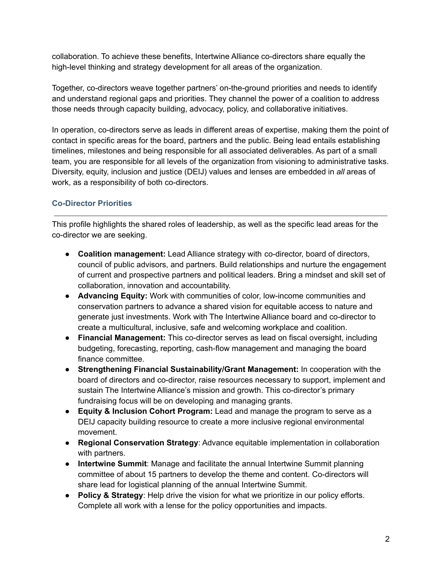collaboration. To achieve these benefits, Intertwine Alliance co-directors share equally the high-level thinking and strategy development for all areas of the organization.

Together, co-directors weave together partners' on-the-ground priorities and needs to identify and understand regional gaps and priorities. They channel the power of a coalition to address those needs through capacity building, advocacy, policy, and collaborative initiatives.

In operation, co-directors serve as leads in different areas of expertise, making them the point of contact in specific areas for the board, partners and the public. Being lead entails establishing timelines, milestones and being responsible for all associated deliverables. As part of a small team, you are responsible for all levels of the organization from visioning to administrative tasks. Diversity, equity, inclusion and justice (DEIJ) values and lenses are embedded in *all* areas of work, as a responsibility of both co-directors.

# **Co-Director Priorities**

This profile highlights the shared roles of leadership, as well as the specific lead areas for the co-director we are seeking.

- **Coalition management:** Lead Alliance strategy with co-director, board of directors, council of public advisors, and partners. Build relationships and nurture the engagement of current and prospective partners and political leaders. Bring a mindset and skill set of collaboration, innovation and accountability.
- **Advancing Equity:** Work with communities of color, low-income communities and conservation partners to advance a shared vision for equitable access to nature and generate just investments. Work with The Intertwine Alliance board and co-director to create a multicultural, inclusive, safe and welcoming workplace and coalition.
- **● Financial Management:** This co-director serves as lead on fiscal oversight, including budgeting, forecasting, reporting, cash-flow management and managing the board finance committee.
- **● Strengthening Financial Sustainability/Grant Management:** In cooperation with the board of directors and co-director, raise resources necessary to support, implement and sustain The Intertwine Alliance's mission and growth. This co-director's primary fundraising focus will be on developing and managing grants.
- **● Equity & Inclusion Cohort Program:** Lead and manage the program to serve as a DEIJ capacity building resource to create a more inclusive regional environmental movement.
- **Regional Conservation Strategy**: Advance equitable implementation in collaboration with partners.
- **Intertwine Summit**: Manage and facilitate the annual Intertwine Summit planning committee of about 15 partners to develop the theme and content. Co-directors will share lead for logistical planning of the annual Intertwine Summit.
- **Policy & Strategy**: Help drive the vision for what we prioritize in our policy efforts. Complete all work with a lense for the policy opportunities and impacts.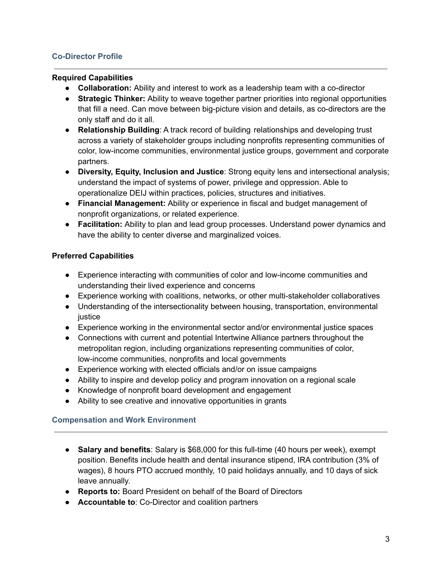#### **Co-Director Profile**

#### **Required Capabilities**

- **● Collaboration:** Ability and interest to work as a leadership team with a co-director
- **● Strategic Thinker:** Ability to weave together partner priorities into regional opportunities that fill a need. Can move between big-picture vision and details, as co-directors are the only staff and do it all.
- **Relationship Building**: A track record of building relationships and developing trust across a variety of stakeholder groups including nonprofits representing communities of color, low-income communities, environmental justice groups, government and corporate partners.
- **Diversity, Equity, Inclusion and Justice**: Strong equity lens and intersectional analysis; understand the impact of systems of power, privilege and oppression. Able to operationalize DEIJ within practices, policies, structures and initiatives.
- **● Financial Management:** Ability or experience in fiscal and budget management of nonprofit organizations, or related experience.
- **● Facilitation:** Ability to plan and lead group processes. Understand power dynamics and have the ability to center diverse and marginalized voices.

#### **Preferred Capabilities**

- Experience interacting with communities of color and low-income communities and understanding their lived experience and concerns
- Experience working with coalitions, networks, or other multi-stakeholder collaboratives
- Understanding of the intersectionality between housing, transportation, environmental justice
- Experience working in the environmental sector and/or environmental justice spaces
- Connections with current and potential Intertwine Alliance partners throughout the metropolitan region, including organizations representing communities of color, low-income communities, nonprofits and local governments
- Experience working with elected officials and/or on issue campaigns
- Ability to inspire and develop policy and program innovation on a regional scale
- Knowledge of nonprofit board development and engagement
- Ability to see creative and innovative opportunities in grants

#### **Compensation and Work Environment**

- **Salary and benefits**: Salary is \$68,000 for this full-time (40 hours per week), exempt position. Benefits include health and dental insurance stipend, IRA contribution (3% of wages), 8 hours PTO accrued monthly, 10 paid holidays annually, and 10 days of sick leave annually.
- **● Reports to:** Board President on behalf of the Board of Directors
- **● Accountable to**: Co-Director and coalition partners